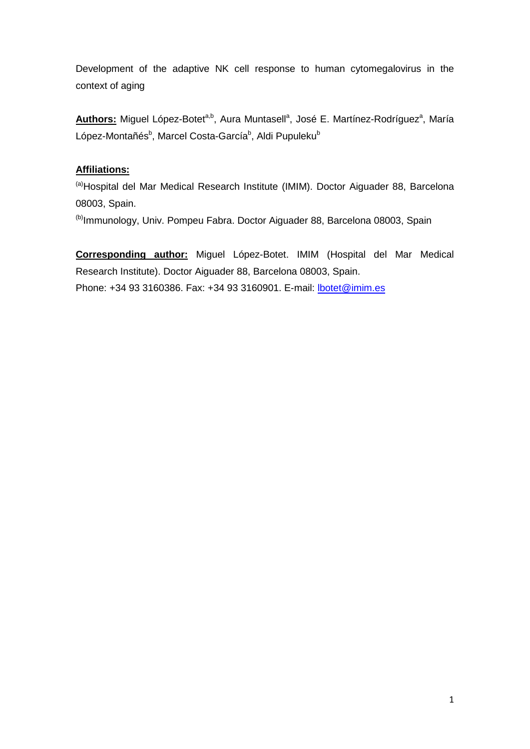Development of the adaptive NK cell response to human cytomegalovirus in the context of aging

Authors: Miguel López-Botet<sup>a,b</sup>, Aura Muntasell<sup>a</sup>, José E. Martínez-Rodríguez<sup>a</sup>, María López-Montañés<sup>b</sup>, Marcel Costa-García<sup>b</sup>, Aldi Pupuleku<sup>b</sup>

# **Affiliations:**

<sup>(a)</sup>Hospital del Mar Medical Research Institute (IMIM). Doctor Aiguader 88, Barcelona 08003, Spain.

(b)Immunology, Univ. Pompeu Fabra. Doctor Aiguader 88, Barcelona 08003, Spain

**Corresponding author:** Miguel López-Botet. IMIM (Hospital del Mar Medical Research Institute). Doctor Aiguader 88, Barcelona 08003, Spain. Phone: +34 93 3160386. Fax: +34 93 3160901. E-mail: [lbotet@imim.es](mailto:lbotet@imim.es)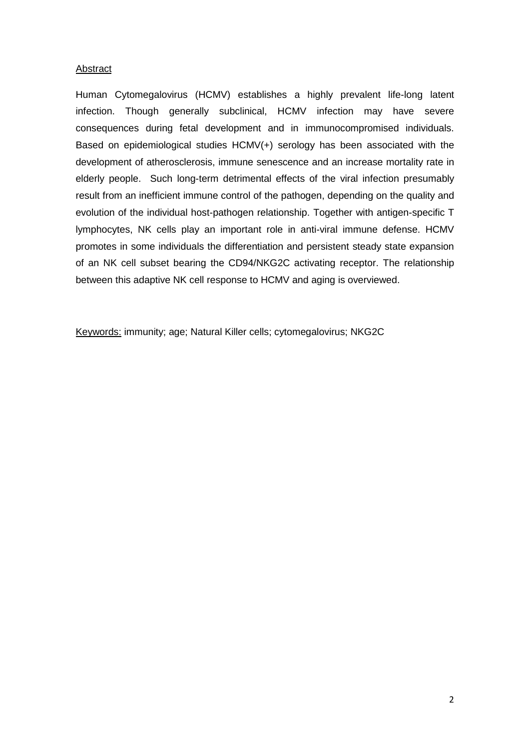## **Abstract**

Human Cytomegalovirus (HCMV) establishes a highly prevalent life-long latent infection. Though generally subclinical, HCMV infection may have severe consequences during fetal development and in immunocompromised individuals. Based on epidemiological studies HCMV(+) serology has been associated with the development of atherosclerosis, immune senescence and an increase mortality rate in elderly people. Such long-term detrimental effects of the viral infection presumably result from an inefficient immune control of the pathogen, depending on the quality and evolution of the individual host-pathogen relationship. Together with antigen-specific T lymphocytes, NK cells play an important role in anti-viral immune defense. HCMV promotes in some individuals the differentiation and persistent steady state expansion of an NK cell subset bearing the CD94/NKG2C activating receptor. The relationship between this adaptive NK cell response to HCMV and aging is overviewed.

Keywords: immunity; age; Natural Killer cells; cytomegalovirus; NKG2C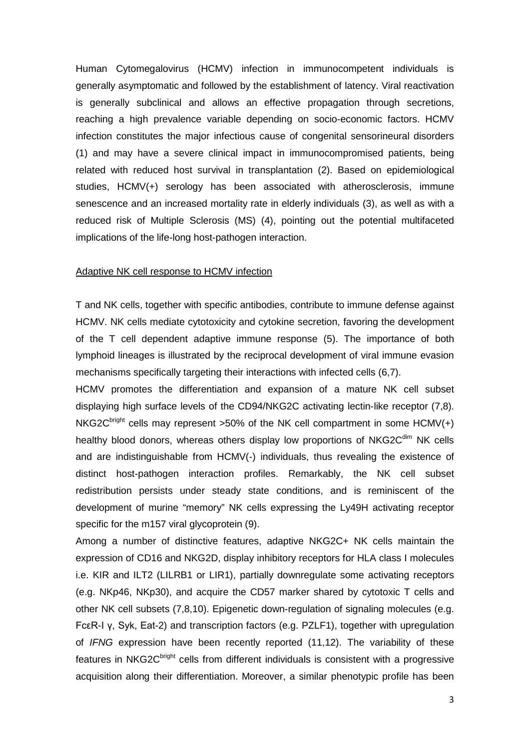Human Cytomegalovirus (HCMV) infection in immunocompetent individuals is generally asymptomatic and followed by the establishment of latency. Viral reactivation is generally subclinical and allows an effective propagation through secretions, reaching a high prevalence variable depending on socio-economic factors. HCMV infection constitutes the major infectious cause of congenital sensorineural disorders (1) and may have a severe clinical impact in immunocompromised patients, being related with reduced host survival in transplantation (2). Based on epidemiological studies, HCMV(+) serology has been associated with atherosclerosis, immune senescence and an increased mortality rate in elderly individuals (3), as well as with a reduced risk of Multiple Sclerosis (MS) (4), pointing out the potential multifaceted implications of the life-long host-pathogen interaction.

#### Adaptive NK cell response to HCMV infection

T and NK cells, together with specific antibodies, contribute to immune defense against HCMV. NK cells mediate cytotoxicity and cytokine secretion, favoring the development of the T cell dependent adaptive immune response (5). The importance of both lymphoid lineages is illustrated by the reciprocal development of viral immune evasion mechanisms specifically targeting their interactions with infected cells (6,7).

HCMV promotes the differentiation and expansion of a mature NK cell subset displaying high surface levels of the CD94/NKG2C activating lectin-like receptor (7,8). NKG2C<sup>bright</sup> cells may represent >50% of the NK cell compartment in some HCMV(+) healthy blood donors, whereas others display low proportions of NKG2 $C^{dim}$  NK cells and are indistinguishable from HCMV(-) individuals, thus revealing the existence of distinct host-pathogen interaction profiles. Remarkably, the NK cell subset redistribution persists under steady state conditions, and is reminiscent of the development of murine "memory" NK cells expressing the Ly49H activating receptor specific for the m157 viral glycoprotein (9).

Among a number of distinctive features, adaptive NKG2C+ NK cells maintain the expression of CD16 and NKG2D, display inhibitory receptors for HLA class I molecules i.e. KIR and ILT2 (LILRB1 or LIR1), partially downregulate some activating receptors (e.g. NKp46, NKp30), and acquire the CD57 marker shared by cytotoxic T cells and other NK cell subsets (7,8,10). Epigenetic down-regulation of signaling molecules (e.g. FcεR-I γ, Syk, Eat-2) and transcription factors (e.g. PZLF1), together with upregulation of *IFNG* expression have been recently reported (11,12). The variability of these features in NKG2C<sup>bright</sup> cells from different individuals is consistent with a progressive acquisition along their differentiation. Moreover, a similar phenotypic profile has been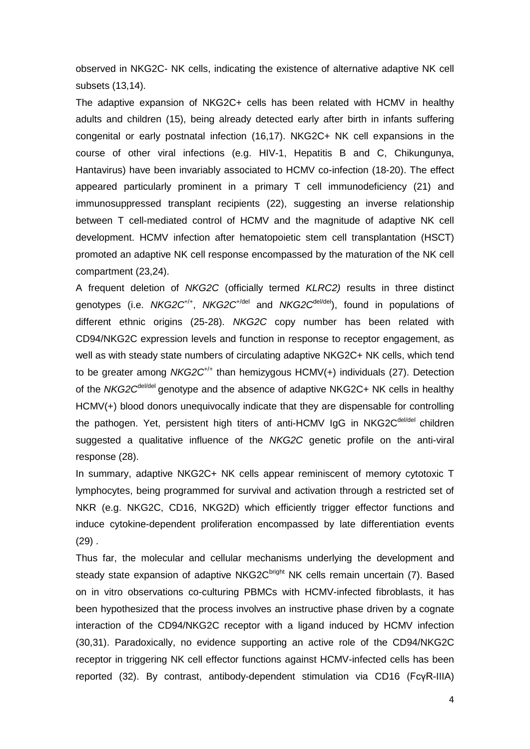observed in NKG2C- NK cells, indicating the existence of alternative adaptive NK cell subsets (13,14).

The adaptive expansion of NKG2C+ cells has been related with HCMV in healthy adults and children (15), being already detected early after birth in infants suffering congenital or early postnatal infection (16,17). NKG2C+ NK cell expansions in the course of other viral infections (e.g. HIV-1, Hepatitis B and C, Chikungunya, Hantavirus) have been invariably associated to HCMV co-infection (18-20). The effect appeared particularly prominent in a primary T cell immunodeficiency (21) and immunosuppressed transplant recipients (22), suggesting an inverse relationship between T cell-mediated control of HCMV and the magnitude of adaptive NK cell development. HCMV infection after hematopoietic stem cell transplantation (HSCT) promoted an adaptive NK cell response encompassed by the maturation of the NK cell compartment (23,24).

A frequent deletion of *NKG2C* (officially termed *KLRC2)* results in three distinct genotypes (i.e. *NKG2C*+/+, *NKG2C*+/del and *NKG2C*del/del), found in populations of different ethnic origins (25-28). *NKG2C* copy number has been related with CD94/NKG2C expression levels and function in response to receptor engagement, as well as with steady state numbers of circulating adaptive NKG2C+ NK cells, which tend to be greater among *NKG2C*+/+ than hemizygous HCMV(+) individuals (27). Detection of the *NKG2C*del/del genotype and the absence of adaptive NKG2C+ NK cells in healthy HCMV(+) blood donors unequivocally indicate that they are dispensable for controlling the pathogen. Yet, persistent high titers of anti-HCMV IgG in NKG2C<sup>del/del</sup> children suggested a qualitative influence of the *NKG2C* genetic profile on the anti-viral response (28).

In summary, adaptive NKG2C+ NK cells appear reminiscent of memory cytotoxic T lymphocytes, being programmed for survival and activation through a restricted set of NKR (e.g. NKG2C, CD16, NKG2D) which efficiently trigger effector functions and induce cytokine-dependent proliferation encompassed by late differentiation events  $(29)$ .

Thus far, the molecular and cellular mechanisms underlying the development and steady state expansion of adaptive NKG2 $C<sup>bright</sup>$  NK cells remain uncertain (7). Based on in vitro observations co-culturing PBMCs with HCMV-infected fibroblasts, it has been hypothesized that the process involves an instructive phase driven by a cognate interaction of the CD94/NKG2C receptor with a ligand induced by HCMV infection (30,31). Paradoxically, no evidence supporting an active role of the CD94/NKG2C receptor in triggering NK cell effector functions against HCMV-infected cells has been reported (32). By contrast, antibody-dependent stimulation via CD16 (FcγR-IIIA)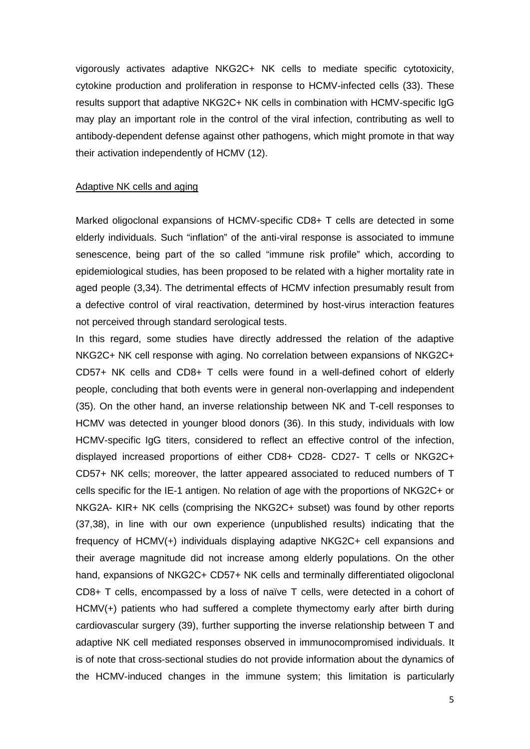vigorously activates adaptive NKG2C+ NK cells to mediate specific cytotoxicity, cytokine production and proliferation in response to HCMV-infected cells (33). These results support that adaptive NKG2C+ NK cells in combination with HCMV-specific IgG may play an important role in the control of the viral infection, contributing as well to antibody-dependent defense against other pathogens, which might promote in that way their activation independently of HCMV (12).

#### Adaptive NK cells and aging

Marked oligoclonal expansions of HCMV-specific CD8+ T cells are detected in some elderly individuals. Such "inflation" of the anti-viral response is associated to immune senescence, being part of the so called "immune risk profile" which, according to epidemiological studies, has been proposed to be related with a higher mortality rate in aged people (3,34). The detrimental effects of HCMV infection presumably result from a defective control of viral reactivation, determined by host-virus interaction features not perceived through standard serological tests.

In this regard, some studies have directly addressed the relation of the adaptive NKG2C+ NK cell response with aging. No correlation between expansions of NKG2C+ CD57+ NK cells and CD8+ T cells were found in a well-defined cohort of elderly people, concluding that both events were in general non-overlapping and independent (35). On the other hand, an inverse relationship between NK and T-cell responses to HCMV was detected in younger blood donors (36). In this study, individuals with low HCMV-specific IgG titers, considered to reflect an effective control of the infection, displayed increased proportions of either CD8+ CD28- CD27- T cells or NKG2C+ CD57+ NK cells; moreover, the latter appeared associated to reduced numbers of T cells specific for the IE-1 antigen. No relation of age with the proportions of NKG2C+ or NKG2A- KIR+ NK cells (comprising the NKG2C+ subset) was found by other reports (37,38), in line with our own experience (unpublished results) indicating that the frequency of HCMV(+) individuals displaying adaptive NKG2C+ cell expansions and their average magnitude did not increase among elderly populations. On the other hand, expansions of NKG2C+ CD57+ NK cells and terminally differentiated oligoclonal CD8+ T cells, encompassed by a loss of naïve T cells, were detected in a cohort of HCMV(+) patients who had suffered a complete thymectomy early after birth during cardiovascular surgery (39), further supporting the inverse relationship between T and adaptive NK cell mediated responses observed in immunocompromised individuals. It is of note that cross-sectional studies do not provide information about the dynamics of the HCMV-induced changes in the immune system; this limitation is particularly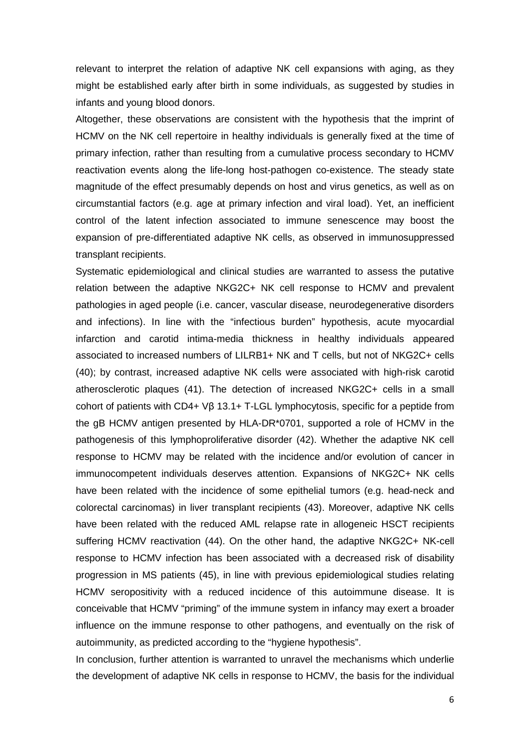relevant to interpret the relation of adaptive NK cell expansions with aging, as they might be established early after birth in some individuals, as suggested by studies in infants and young blood donors.

Altogether, these observations are consistent with the hypothesis that the imprint of HCMV on the NK cell repertoire in healthy individuals is generally fixed at the time of primary infection, rather than resulting from a cumulative process secondary to HCMV reactivation events along the life-long host-pathogen co-existence. The steady state magnitude of the effect presumably depends on host and virus genetics, as well as on circumstantial factors (e.g. age at primary infection and viral load). Yet, an inefficient control of the latent infection associated to immune senescence may boost the expansion of pre-differentiated adaptive NK cells, as observed in immunosuppressed transplant recipients.

Systematic epidemiological and clinical studies are warranted to assess the putative relation between the adaptive NKG2C+ NK cell response to HCMV and prevalent pathologies in aged people (i.e. cancer, vascular disease, neurodegenerative disorders and infections). In line with the "infectious burden" hypothesis, acute myocardial infarction and carotid intima-media thickness in healthy individuals appeared associated to increased numbers of LILRB1+ NK and T cells, but not of NKG2C+ cells (40); by contrast, increased adaptive NK cells were associated with high-risk carotid atherosclerotic plaques (41). The detection of increased NKG2C+ cells in a small cohort of patients with CD4+ Vβ 13.1+ T-LGL lymphocytosis, specific for a peptide from the gB HCMV antigen presented by HLA-DR\*0701, supported a role of HCMV in the pathogenesis of this lymphoproliferative disorder (42). Whether the adaptive NK cell response to HCMV may be related with the incidence and/or evolution of cancer in immunocompetent individuals deserves attention. Expansions of NKG2C+ NK cells have been related with the incidence of some epithelial tumors (e.g. head-neck and colorectal carcinomas) in liver transplant recipients (43). Moreover, adaptive NK cells have been related with the reduced AML relapse rate in allogeneic HSCT recipients suffering HCMV reactivation (44). On the other hand, the adaptive NKG2C+ NK-cell response to HCMV infection has been associated with a decreased risk of disability progression in MS patients (45), in line with previous epidemiological studies relating HCMV seropositivity with a reduced incidence of this autoimmune disease. It is conceivable that HCMV "priming" of the immune system in infancy may exert a broader influence on the immune response to other pathogens, and eventually on the risk of autoimmunity, as predicted according to the "hygiene hypothesis".

In conclusion, further attention is warranted to unravel the mechanisms which underlie the development of adaptive NK cells in response to HCMV, the basis for the individual

6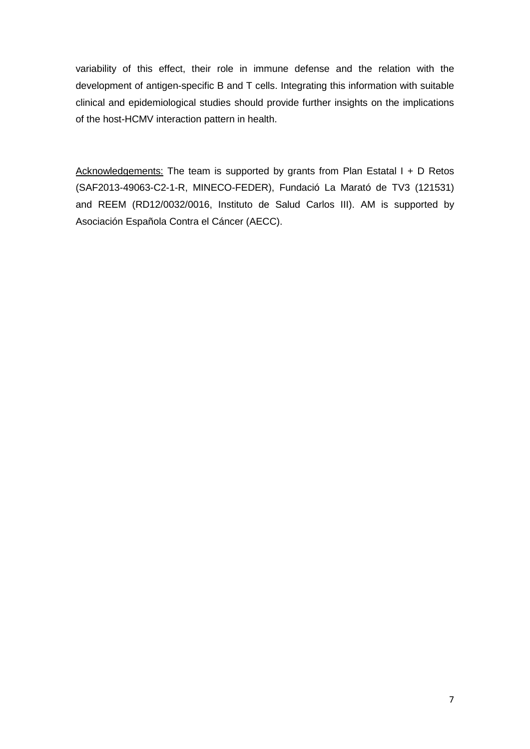variability of this effect, their role in immune defense and the relation with the development of antigen-specific B and T cells. Integrating this information with suitable clinical and epidemiological studies should provide further insights on the implications of the host-HCMV interaction pattern in health.

Acknowledgements: The team is supported by grants from Plan Estatal I + D Retos (SAF2013-49063-C2-1-R, MINECO-FEDER), Fundació La Marató de TV3 (121531) and REEM (RD12/0032/0016, Instituto de Salud Carlos III). AM is supported by Asociación Española Contra el Cáncer (AECC).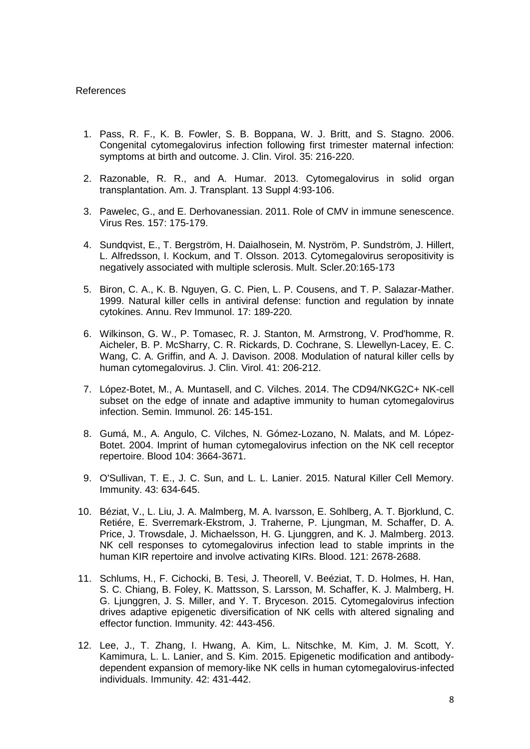### References

- 1. Pass, R. F., K. B. Fowler, S. B. Boppana, W. J. Britt, and S. Stagno. 2006. Congenital cytomegalovirus infection following first trimester maternal infection: symptoms at birth and outcome. J. Clin. Virol. 35: 216-220.
- 2. Razonable, R. R., and A. Humar. 2013. Cytomegalovirus in solid organ transplantation. Am. J. Transplant. 13 Suppl 4:93-106.
- 3. Pawelec, G., and E. Derhovanessian. 2011. Role of CMV in immune senescence. Virus Res. 157: 175-179.
- 4. Sundqvist, E., T. Bergström, H. Daialhosein, M. Nyström, P. Sundström, J. Hillert, L. Alfredsson, I. Kockum, and T. Olsson. 2013. Cytomegalovirus seropositivity is negatively associated with multiple sclerosis. Mult. Scler.20:165-173
- 5. Biron, C. A., K. B. Nguyen, G. C. Pien, L. P. Cousens, and T. P. Salazar-Mather. 1999. Natural killer cells in antiviral defense: function and regulation by innate cytokines. Annu. Rev Immunol. 17: 189-220.
- 6. Wilkinson, G. W., P. Tomasec, R. J. Stanton, M. Armstrong, V. Prod'homme, R. Aicheler, B. P. McSharry, C. R. Rickards, D. Cochrane, S. Llewellyn-Lacey, E. C. Wang, C. A. Griffin, and A. J. Davison. 2008. Modulation of natural killer cells by human cytomegalovirus. J. Clin. Virol. 41: 206-212.
- 7. López-Botet, M., A. Muntasell, and C. Vilches. 2014. The CD94/NKG2C+ NK-cell subset on the edge of innate and adaptive immunity to human cytomegalovirus infection. Semin. Immunol. 26: 145-151.
- 8. Gumá, M., A. Angulo, C. Vilches, N. Gómez-Lozano, N. Malats, and M. López-Botet. 2004. Imprint of human cytomegalovirus infection on the NK cell receptor repertoire. Blood 104: 3664-3671.
- 9. O'Sullivan, T. E., J. C. Sun, and L. L. Lanier. 2015. Natural Killer Cell Memory. Immunity. 43: 634-645.
- 10. Béziat, V., L. Liu, J. A. Malmberg, M. A. Ivarsson, E. Sohlberg, A. T. Bjorklund, C. Retiére, E. Sverremark-Ekstrom, J. Traherne, P. Ljungman, M. Schaffer, D. A. Price, J. Trowsdale, J. Michaelsson, H. G. Ljunggren, and K. J. Malmberg. 2013. NK cell responses to cytomegalovirus infection lead to stable imprints in the human KIR repertoire and involve activating KIRs. Blood. 121: 2678-2688.
- 11. Schlums, H., F. Cichocki, B. Tesi, J. Theorell, V. Beéziat, T. D. Holmes, H. Han, S. C. Chiang, B. Foley, K. Mattsson, S. Larsson, M. Schaffer, K. J. Malmberg, H. G. Ljunggren, J. S. Miller, and Y. T. Bryceson. 2015. Cytomegalovirus infection drives adaptive epigenetic diversification of NK cells with altered signaling and effector function. Immunity. 42: 443-456.
- 12. Lee, J., T. Zhang, I. Hwang, A. Kim, L. Nitschke, M. Kim, J. M. Scott, Y. Kamimura, L. L. Lanier, and S. Kim. 2015. Epigenetic modification and antibodydependent expansion of memory-like NK cells in human cytomegalovirus-infected individuals. Immunity. 42: 431-442.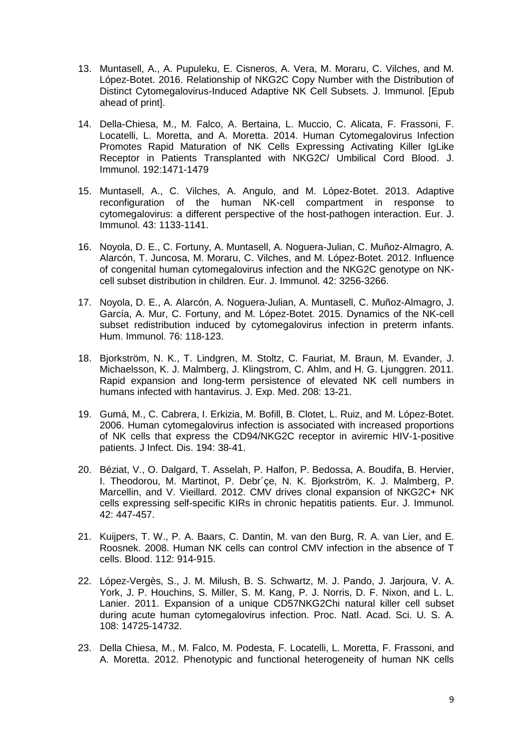- 13. Muntasell, A., A. Pupuleku, E. Cisneros, A. Vera, M. Moraru, C. Vilches, and M. López-Botet. 2016. Relationship of NKG2C Copy Number with the Distribution of Distinct Cytomegalovirus-Induced Adaptive NK Cell Subsets. J. Immunol. [Epub ahead of print].
- 14. Della-Chiesa, M., M. Falco, A. Bertaina, L. Muccio, C. Alicata, F. Frassoni, F. Locatelli, L. Moretta, and A. Moretta. 2014. Human Cytomegalovirus Infection Promotes Rapid Maturation of NK Cells Expressing Activating Killer IgLike Receptor in Patients Transplanted with NKG2C/ Umbilical Cord Blood. J. Immunol. 192:1471-1479
- 15. Muntasell, A., C. Vilches, A. Angulo, and M. López-Botet. 2013. Adaptive reconfiguration of the human NK-cell compartment in response to cytomegalovirus: a different perspective of the host-pathogen interaction. Eur. J. Immunol. 43: 1133-1141.
- 16. Noyola, D. E., C. Fortuny, A. Muntasell, A. Noguera-Julian, C. Muñoz-Almagro, A. Alarcón, T. Juncosa, M. Moraru, C. Vilches, and M. López-Botet. 2012. Influence of congenital human cytomegalovirus infection and the NKG2C genotype on NKcell subset distribution in children. Eur. J. Immunol. 42: 3256-3266.
- 17. Noyola, D. E., A. Alarcón, A. Noguera-Julian, A. Muntasell, C. Muñoz-Almagro, J. García, A. Mur, C. Fortuny, and M. López-Botet. 2015. Dynamics of the NK-cell subset redistribution induced by cytomegalovirus infection in preterm infants. Hum. Immunol. 76: 118-123.
- 18. Bjorkström, N. K., T. Lindgren, M. Stoltz, C. Fauriat, M. Braun, M. Evander, J. Michaelsson, K. J. Malmberg, J. Klingstrom, C. Ahlm, and H. G. Ljunggren. 2011. Rapid expansion and long-term persistence of elevated NK cell numbers in humans infected with hantavirus. J. Exp. Med. 208: 13-21.
- 19. Gumá, M., C. Cabrera, I. Erkizia, M. Bofill, B. Clotet, L. Ruiz, and M. López-Botet. 2006. Human cytomegalovirus infection is associated with increased proportions of NK cells that express the CD94/NKG2C receptor in aviremic HIV-1-positive patients. J Infect. Dis. 194: 38-41.
- 20. Béziat, V., O. Dalgard, T. Asselah, P. Halfon, P. Bedossa, A. Boudifa, B. Hervier, I. Theodorou, M. Martinot, P. Debr´çe, N. K. Bjorkström, K. J. Malmberg, P. Marcellin, and V. Vieillard, 2012. CMV drives clonal expansion of NKG2C+ NK cells expressing self-specific KIRs in chronic hepatitis patients. Eur. J. Immunol. 42: 447-457.
- 21. Kuijpers, T. W., P. A. Baars, C. Dantin, M. van den Burg, R. A. van Lier, and E. Roosnek. 2008. Human NK cells can control CMV infection in the absence of T cells. Blood. 112: 914-915.
- 22. López-Vergès, S., J. M. Milush, B. S. Schwartz, M. J. Pando, J. Jarjoura, V. A. York, J. P. Houchins, S. Miller, S. M. Kang, P. J. Norris, D. F. Nixon, and L. L. Lanier. 2011. Expansion of a unique CD57NKG2Chi natural killer cell subset during acute human cytomegalovirus infection. Proc. Natl. Acad. Sci. U. S. A. 108: 14725-14732.
- 23. Della Chiesa, M., M. Falco, M. Podesta, F. Locatelli, L. Moretta, F. Frassoni, and A. Moretta. 2012. Phenotypic and functional heterogeneity of human NK cells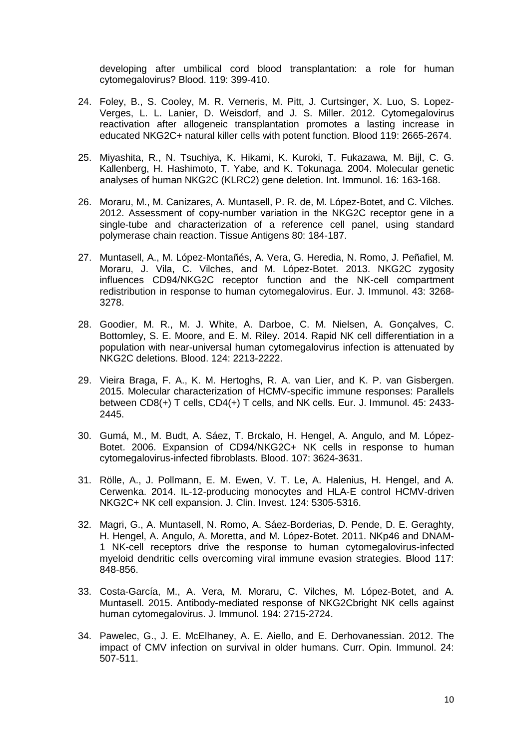developing after umbilical cord blood transplantation: a role for human cytomegalovirus? Blood. 119: 399-410.

- 24. Foley, B., S. Cooley, M. R. Verneris, M. Pitt, J. Curtsinger, X. Luo, S. Lopez-Verges, L. L. Lanier, D. Weisdorf, and J. S. Miller. 2012. Cytomegalovirus reactivation after allogeneic transplantation promotes a lasting increase in educated NKG2C+ natural killer cells with potent function. Blood 119: 2665-2674.
- 25. Miyashita, R., N. Tsuchiya, K. Hikami, K. Kuroki, T. Fukazawa, M. Bijl, C. G. Kallenberg, H. Hashimoto, T. Yabe, and K. Tokunaga. 2004. Molecular genetic analyses of human NKG2C (KLRC2) gene deletion. Int. Immunol. 16: 163-168.
- 26. Moraru, M., M. Canizares, A. Muntasell, P. R. de, M. López-Botet, and C. Vilches. 2012. Assessment of copy-number variation in the NKG2C receptor gene in a single-tube and characterization of a reference cell panel, using standard polymerase chain reaction. Tissue Antigens 80: 184-187.
- 27. Muntasell, A., M. López-Montañés, A. Vera, G. Heredia, N. Romo, J. Peñafiel, M. Moraru, J. Vila, C. Vilches, and M. López-Botet. 2013. NKG2C zygosity influences CD94/NKG2C receptor function and the NK-cell compartment redistribution in response to human cytomegalovirus. Eur. J. Immunol. 43: 3268- 3278.
- 28. Goodier, M. R., M. J. White, A. Darboe, C. M. Nielsen, A. Gonçalves, C. Bottomley, S. E. Moore, and E. M. Riley. 2014. Rapid NK cell differentiation in a population with near-universal human cytomegalovirus infection is attenuated by NKG2C deletions. Blood. 124: 2213-2222.
- 29. Vieira Braga, F. A., K. M. Hertoghs, R. A. van Lier, and K. P. van Gisbergen. 2015. Molecular characterization of HCMV-specific immune responses: Parallels between CD8(+) T cells, CD4(+) T cells, and NK cells. Eur. J. Immunol. 45: 2433- 2445.
- 30. Gumá, M., M. Budt, A. Sáez, T. Brckalo, H. Hengel, A. Angulo, and M. López-Botet. 2006. Expansion of CD94/NKG2C+ NK cells in response to human cytomegalovirus-infected fibroblasts. Blood. 107: 3624-3631.
- 31. Rölle, A., J. Pollmann, E. M. Ewen, V. T. Le, A. Halenius, H. Hengel, and A. Cerwenka. 2014. IL-12-producing monocytes and HLA-E control HCMV-driven NKG2C+ NK cell expansion. J. Clin. Invest. 124: 5305-5316.
- 32. Magri, G., A. Muntasell, N. Romo, A. Sáez-Borderias, D. Pende, D. E. Geraghty, H. Hengel, A. Angulo, A. Moretta, and M. López-Botet. 2011. NKp46 and DNAM-1 NK-cell receptors drive the response to human cytomegalovirus-infected myeloid dendritic cells overcoming viral immune evasion strategies. Blood 117: 848-856.
- 33. Costa-García, M., A. Vera, M. Moraru, C. Vilches, M. López-Botet, and A. Muntasell. 2015. Antibody-mediated response of NKG2Cbright NK cells against human cytomegalovirus. J. Immunol. 194: 2715-2724.
- 34. Pawelec, G., J. E. McElhaney, A. E. Aiello, and E. Derhovanessian. 2012. The impact of CMV infection on survival in older humans. Curr. Opin. Immunol. 24: 507-511.